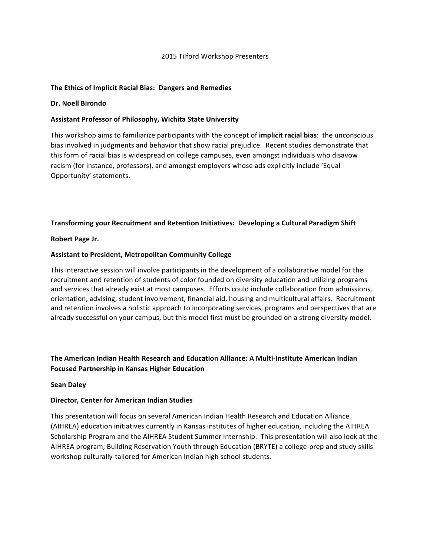### 2015 Tilford Workshop Presenters

#### The Ethics of Implicit Racial Bias: Dangers and Remedies

#### **Dr. Noell Birondo**

#### Assistant Professor of Philosophy, Wichita State University

This workshop aims to familiarize participants with the concept of *implicit racial bias*: the unconscious bias involved in judgments and behavior that show racial prejudice. Recent studies demonstrate that this form of racial bias is widespread on college campuses, even amongst individuals who disavow racism (for instance, professors), and amongst employers whose ads explicitly include 'Equal Opportunity' statements.

### **Transforming your Recruitment and Retention Initiatives: Developing a Cultural Paradigm Shift**

#### **Robert Page Jr.**

### **Assistant to President, Metropolitan Community College**

This interactive session will involve participants in the development of a collaborative model for the recruitment and retention of students of color founded on diversity education and utilizing programs and services that already exist at most campuses. Efforts could include collaboration from admissions, orientation, advising, student involvement, financial aid, housing and multicultural affairs. Recruitment and retention involves a holistic approach to incorporating services, programs and perspectives that are already successful on your campus, but this model first must be grounded on a strong diversity model.

# The American Indian Health Research and Education Alliance: A Multi-Institute American Indian **Focused Partnership in Kansas Higher Education**

#### **Sean Daley**

# **Director, Center for American Indian Studies**

This presentation will focus on several American Indian Health Research and Education Alliance (AIHREA) education initiatives currently in Kansas institutes of higher education, including the AIHREA Scholarship Program and the AIHREA Student Summer Internship. This presentation will also look at the AIHREA program, Building Reservation Youth through Education (BRYTE) a college-prep and study skills workshop culturally-tailored for American Indian high school students.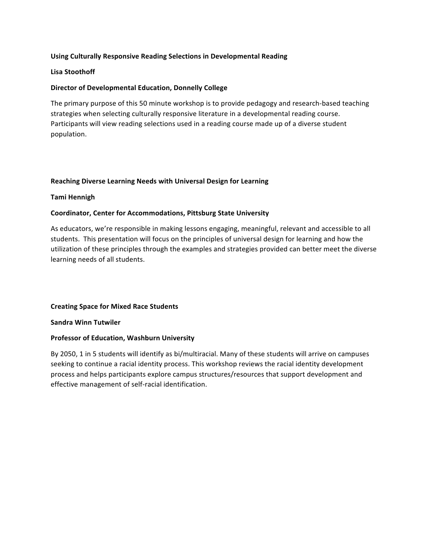# **Using Culturally Responsive Reading Selections in Developmental Reading**

# **Lisa Stoothoff**

# **Director of Developmental Education, Donnelly College**

The primary purpose of this 50 minute workshop is to provide pedagogy and research-based teaching strategies when selecting culturally responsive literature in a developmental reading course. Participants will view reading selections used in a reading course made up of a diverse student population.

### **Reaching Diverse Learning Needs with Universal Design for Learning**

### **Tami Hennigh**

### **Coordinator, Center for Accommodations, Pittsburg State University**

As educators, we're responsible in making lessons engaging, meaningful, relevant and accessible to all students. This presentation will focus on the principles of universal design for learning and how the utilization of these principles through the examples and strategies provided can better meet the diverse learning needs of all students.

#### **Creating Space for Mixed Race Students**

**Sandra Winn Tutwiler**

#### **Professor of Education, Washburn University**

By 2050, 1 in 5 students will identify as bi/multiracial. Many of these students will arrive on campuses seeking to continue a racial identity process. This workshop reviews the racial identity development process and helps participants explore campus structures/resources that support development and effective management of self-racial identification.